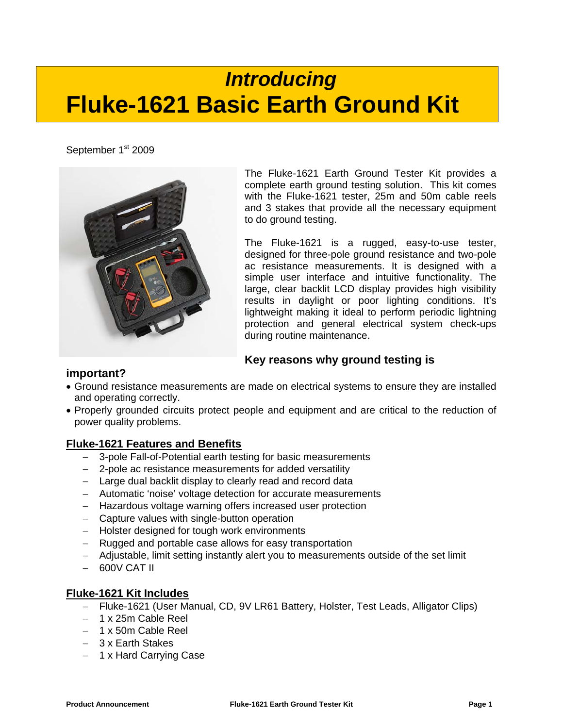# *Introducing*  **Fluke-1621 Basic Earth Ground Kit**

September 1st 2009



The Fluke-1621 Earth Ground Tester Kit provides a complete earth ground testing solution. This kit comes with the Fluke-1621 tester, 25m and 50m cable reels and 3 stakes that provide all the necessary equipment to do ground testing.

The Fluke-1621 is a rugged, easy-to-use tester, designed for three-pole ground resistance and two-pole ac resistance measurements. It is designed with a simple user interface and intuitive functionality. The large, clear backlit LCD display provides high visibility results in daylight or poor lighting conditions. It's lightweight making it ideal to perform periodic lightning protection and general electrical system check-ups during routine maintenance.

# **Key reasons why ground testing is**

## **important?**

- Ground resistance measurements are made on electrical systems to ensure they are installed and operating correctly.
- Properly grounded circuits protect people and equipment and are critical to the reduction of power quality problems.

## **Fluke-1621 Features and Benefits**

- − 3-pole Fall-of-Potential earth testing for basic measurements
- − 2-pole ac resistance measurements for added versatility
- − Large dual backlit display to clearly read and record data
- − Automatic 'noise' voltage detection for accurate measurements
- − Hazardous voltage warning offers increased user protection
- − Capture values with single-button operation
- − Holster designed for tough work environments
- − Rugged and portable case allows for easy transportation
- − Adjustable, limit setting instantly alert you to measurements outside of the set limit
- − 600V CAT II

## **Fluke-1621 Kit Includes**

- − Fluke-1621 (User Manual, CD, 9V LR61 Battery, Holster, Test Leads, Alligator Clips)
- − 1 x 25m Cable Reel
- − 1 x 50m Cable Reel
- − 3 x Earth Stakes
- − 1 x Hard Carrying Case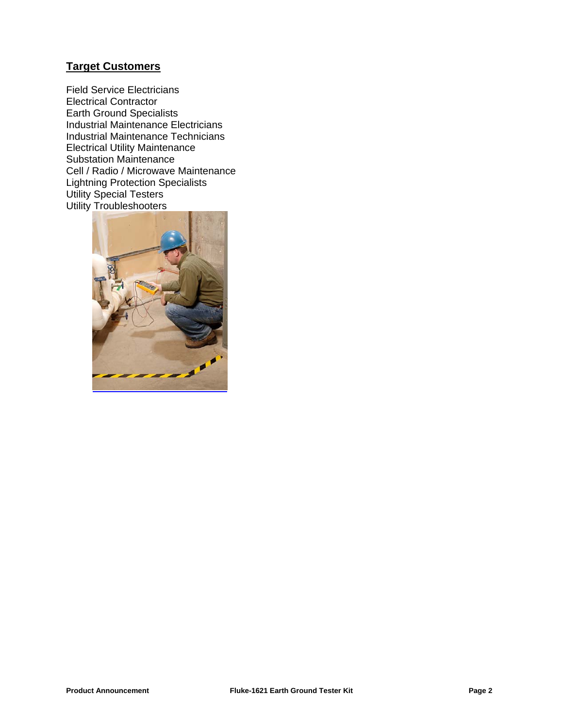## **Target Customers**

Field Service Electricians Electrical Contractor Earth Ground Specialists Industrial Maintenance Electricians Industrial Maintenance Technicians Electrical Utility Maintenance Substation Maintenance Cell / Radio / Microwave Maintenance Lightning Protection Specialists Utility Special Testers Utility Troubleshooters